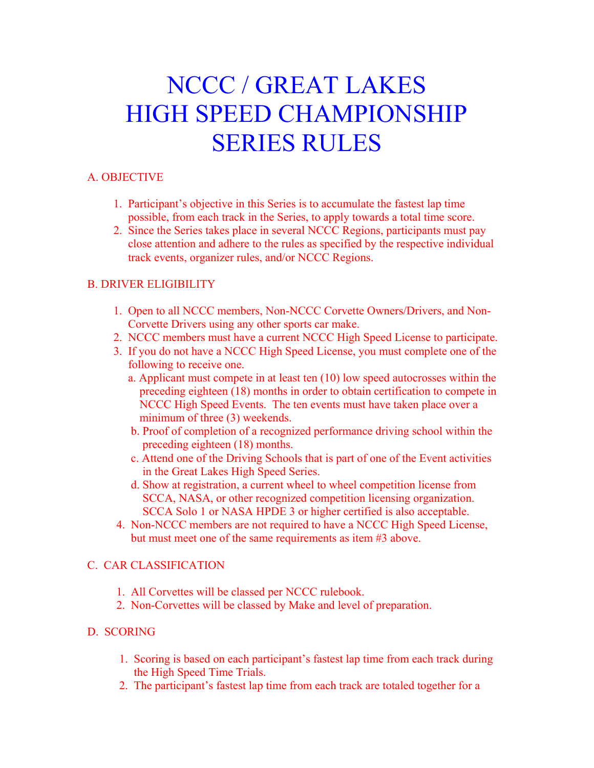# NCCC / GREAT LAKES HIGH SPEED CHAMPIONSHIP SERIES RULES

## A. OBJECTIVE

- 1. Participant's objective in this Series is to accumulate the fastest lap time possible, from each track in the Series, to apply towards a total time score.
- 2. Since the Series takes place in several NCCC Regions, participants must pay close attention and adhere to the rules as specified by the respective individual track events, organizer rules, and/or NCCC Regions.

## B. DRIVER ELIGIBILITY

- 1. Open to all NCCC members, Non-NCCC Corvette Owners/Drivers, and Non- Corvette Drivers using any other sports car make.
- 2. NCCC members must have a current NCCC High Speed License to participate.
- 3. If you do not have a NCCC High Speed License, you must complete one of the following to receive one.
	- a. Applicant must compete in at least ten (10) low speed autocrosses within the preceding eighteen (18) months in order to obtain certification to compete in NCCC High Speed Events. The ten events must have taken place over a minimum of three (3) weekends.
	- b. Proof of completion of a recognized performance driving school within the preceding eighteen (18) months.
	- c. Attend one of the Driving Schools that is part of one of the Event activities in the Great Lakes High Speed Series.
	- d. Show at registration, a current wheel to wheel competition license from SCCA, NASA, or other recognized competition licensing organization. SCCA Solo 1 or NASA HPDE 3 or higher certified is also acceptable.
- 4. Non-NCCC members are not required to have a NCCC High Speed License, but must meet one of the same requirements as item #3 above.

## C. CAR CLASSIFICATION

- 1. All Corvettes will be classed per NCCC rulebook.
- 2. Non-Corvettes will be classed by Make and level of preparation.

## D. SCORING

- 1. Scoring is based on each participant's fastest lap time from each track during the High Speed Time Trials.
- 2. The participant's fastest lap time from each track are totaled together for a